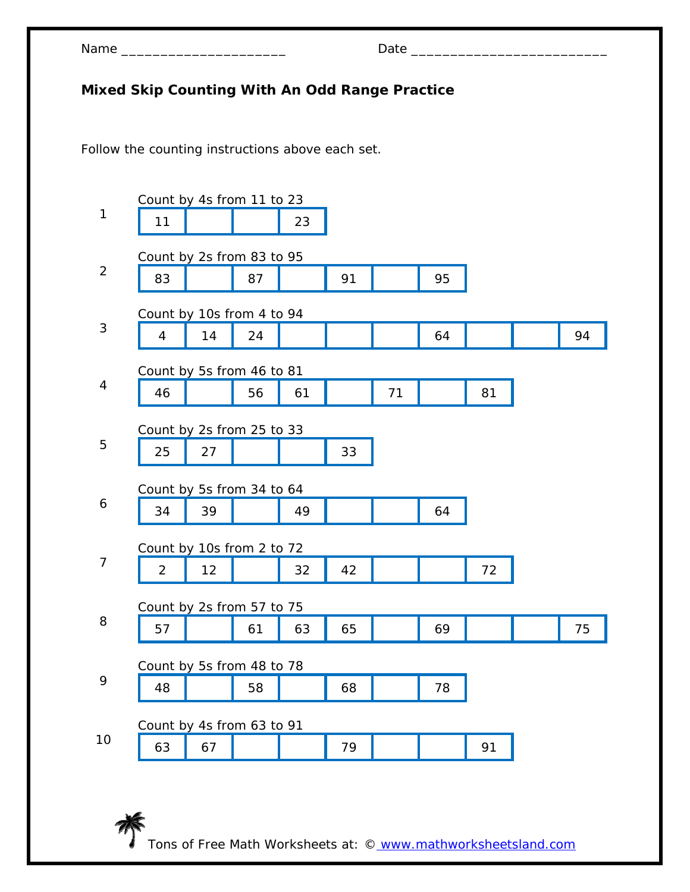| Name |  |
|------|--|
|------|--|

## **Mixed Skip Counting With An Odd Range Practice**

Follow the counting instructions above each set.

| 1              | Count by 4s from 11 to 23<br>11 |    |    | 23 |    |    |    |    |    |
|----------------|---------------------------------|----|----|----|----|----|----|----|----|
| $\overline{2}$ | Count by 2s from 83 to 95       |    |    |    |    |    |    |    |    |
|                | 83                              |    | 87 |    | 91 |    | 95 |    |    |
|                | Count by 10s from 4 to 94       |    |    |    |    |    |    |    |    |
| 3              | $\overline{4}$                  | 14 | 24 |    |    |    | 64 |    | 94 |
|                | Count by 5s from 46 to 81       |    |    |    |    |    |    |    |    |
| 4              | 46                              |    | 56 | 61 |    | 71 |    | 81 |    |
|                | Count by 2s from 25 to 33       |    |    |    |    |    |    |    |    |
| 5              | 25                              | 27 |    |    | 33 |    |    |    |    |
|                | Count by 5s from 34 to 64       |    |    |    |    |    |    |    |    |
| 6              | 34                              | 39 |    | 49 |    |    | 64 |    |    |
|                | Count by 10s from 2 to 72       |    |    |    |    |    |    |    |    |
| 7              | $\overline{2}$                  | 12 |    | 32 | 42 |    |    | 72 |    |
|                | Count by 2s from 57 to 75       |    |    |    |    |    |    |    |    |
| 8              | 57                              |    | 61 | 63 | 65 |    | 69 |    | 75 |
|                | Count by 5s from 48 to 78       |    |    |    |    |    |    |    |    |
| 9              | 48                              |    | 58 |    | 68 |    | 78 |    |    |
|                | Count by 4s from 63 to 91       |    |    |    |    |    |    |    |    |
| 10             | 63                              | 67 |    |    | 79 |    |    | 91 |    |
|                |                                 |    |    |    |    |    |    |    |    |

Tons of Free Math Worksheets at: © www.mathworksheetsland.com